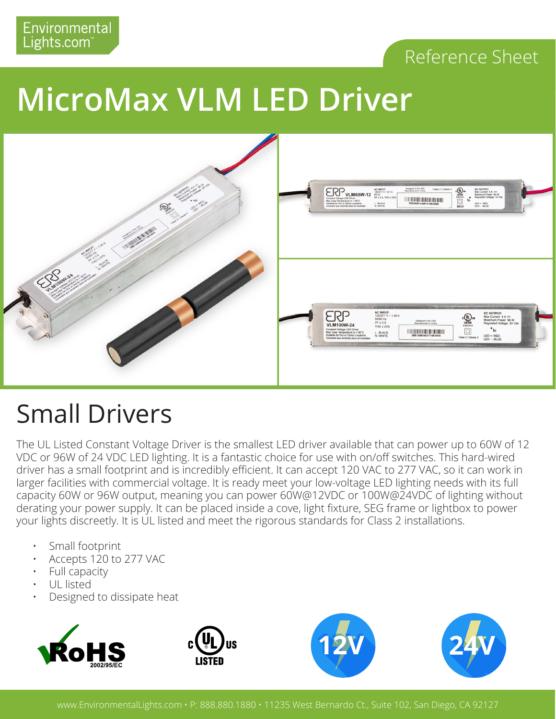#### Reference Sheet

# **MicroMax VLM LED Driver**



### Small Drivers

The UL Listed Constant Voltage Driver is the smallest LED driver available that can power up to 60W of 12 VDC or 96W of 24 VDC LED lighting. It is a fantastic choice for use with on/off switches. This hard-wired driver has a small footprint and is incredibly efficient. It can accept 120 VAC to 277 VAC, so it can work in larger facilities with commercial voltage. It is ready meet your low-voltage LED lighting needs with its full capacity 60W or 96W output, meaning you can power 60W@12VDC or 100W@24VDC of lighting without derating your power supply. It can be placed inside a cove, light fixture, SEG frame or lightbox to power your lights discreetly. It is UL listed and meet the rigorous standards for Class 2 installations.

- Small footprint
- Accepts 120 to 277 VAC
- Full capacity
- UL listed
- Designed to dissipate heat